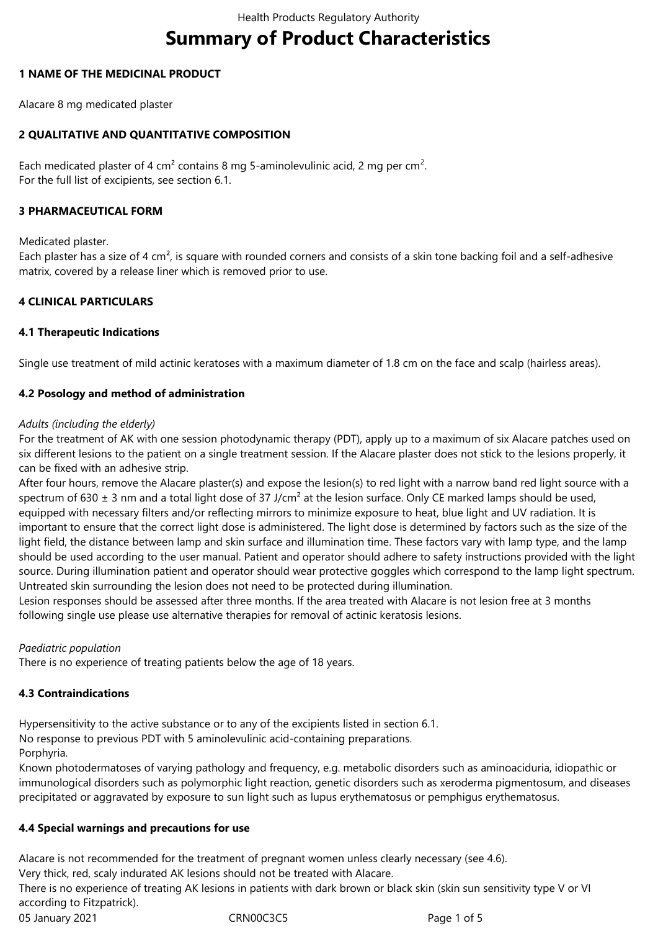# **Summary of Product Characteristics**

# **1 NAME OF THE MEDICINAL PRODUCT**

Alacare 8 mg medicated plaster

# **2 QUALITATIVE AND QUANTITATIVE COMPOSITION**

Each medicated plaster of 4 cm<sup>2</sup> contains 8 mg 5-aminolevulinic acid, 2 mg per cm<sup>2</sup>. For the full list of excipients, see section 6.1.

# **3 PHARMACEUTICAL FORM**

Medicated plaster.

Each plaster has a size of 4 cm², is square with rounded corners and consists of a skin tone backing foil and a self-adhesive matrix, covered by a release liner which is removed prior to use.

# **4 CLINICAL PARTICULARS**

# **4.1 Therapeutic Indications**

Single use treatment of mild actinic keratoses with a maximum diameter of 1.8 cm on the face and scalp (hairless areas).

# **4.2 Posology and method of administration**

## *Adults (including the elderly)*

For the treatment of AK with one session photodynamic therapy (PDT), apply up to a maximum of six Alacare patches used on six different lesions to the patient on a single treatment session. If the Alacare plaster does not stick to the lesions properly, it can be fixed with an adhesive strip.

After four hours, remove the Alacare plaster(s) and expose the lesion(s) to red light with a narrow band red light source with a spectrum of 630  $\pm$  3 nm and a total light dose of 37 J/cm<sup>2</sup> at the lesion surface. Only CE marked lamps should be used, equipped with necessary filters and/or reflecting mirrors to minimize exposure to heat, blue light and UV radiation. It is important to ensure that the correct light dose is administered. The light dose is determined by factors such as the size of the light field, the distance between lamp and skin surface and illumination time. These factors vary with lamp type, and the lamp should be used according to the user manual. Patient and operator should adhere to safety instructions provided with the light source. During illumination patient and operator should wear protective goggles which correspond to the lamp light spectrum. Untreated skin surrounding the lesion does not need to be protected during illumination.

Lesion responses should be assessed after three months. If the area treated with Alacare is not lesion free at 3 months following single use please use alternative therapies for removal of actinic keratosis lesions.

# *Paediatric population*

There is no experience of treating patients below the age of 18 years.

# **4.3 Contraindications**

Hypersensitivity to the active substance or to any of the excipients listed in section 6.1.

No response to previous PDT with 5 aminolevulinic acid-containing preparations.

Porphyria.

Known photodermatoses of varying pathology and frequency, e.g. metabolic disorders such as aminoaciduria, idiopathic or immunological disorders such as polymorphic light reaction, genetic disorders such as xeroderma pigmentosum, and diseases precipitated or aggravated by exposure to sun light such as lupus erythematosus or pemphigus erythematosus.

# **4.4 Special warnings and precautions for use**

Alacare is not recommended for the treatment of pregnant women unless clearly necessary (see 4.6).

Very thick, red, scaly indurated AK lesions should not be treated with Alacare.

There is no experience of treating AK lesions in patients with dark brown or black skin (skin sun sensitivity type V or VI according to Fitzpatrick).

05 January 2021 **CRN00C3C5** CRN00C3C5 Page 1 of 5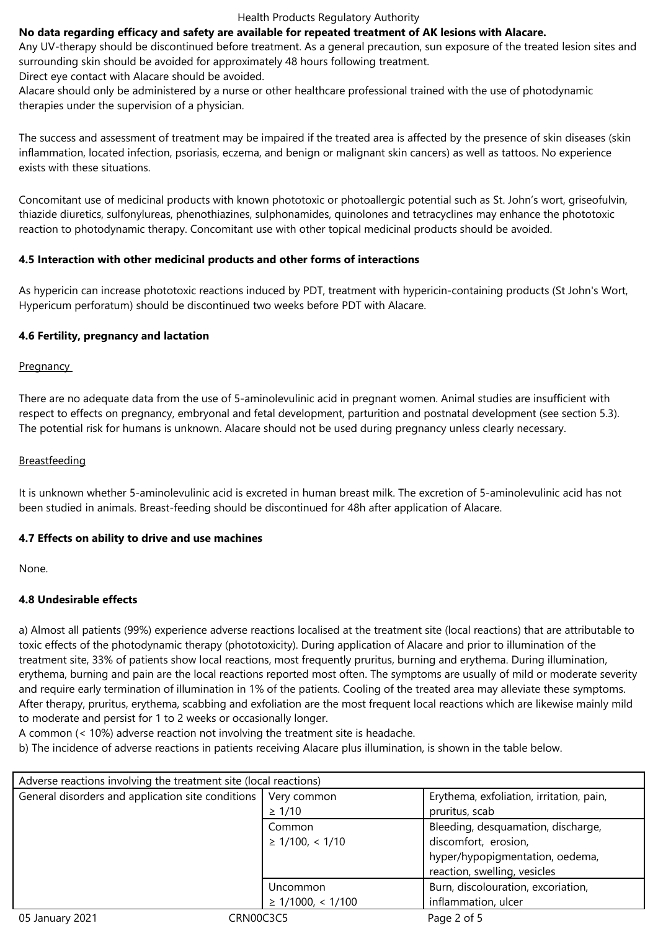#### Health Products Regulatory Authority

#### **No data regarding efficacy and safety are available for repeated treatment of AK lesions with Alacare.**

Any UV-therapy should be discontinued before treatment. As a general precaution, sun exposure of the treated lesion sites and surrounding skin should be avoided for approximately 48 hours following treatment.

Direct eye contact with Alacare should be avoided.

Alacare should only be administered by a nurse or other healthcare professional trained with the use of photodynamic therapies under the supervision of a physician.

The success and assessment of treatment may be impaired if the treated area is affected by the presence of skin diseases (skin inflammation, located infection, psoriasis, eczema, and benign or malignant skin cancers) as well as tattoos. No experience exists with these situations.

Concomitant use of medicinal products with known phototoxic or photoallergic potential such as St. John's wort, griseofulvin, thiazide diuretics, sulfonylureas, phenothiazines, sulphonamides, quinolones and tetracyclines may enhance the phototoxic reaction to photodynamic therapy. Concomitant use with other topical medicinal products should be avoided.

#### **4.5 Interaction with other medicinal products and other forms of interactions**

As hypericin can increase phototoxic reactions induced by PDT, treatment with hypericin-containing products (St John's Wort, Hypericum perforatum) should be discontinued two weeks before PDT with Alacare.

#### **4.6 Fertility, pregnancy and lactation**

## **Pregnancy**

There are no adequate data from the use of 5-aminolevulinic acid in pregnant women. Animal studies are insufficient with respect to effects on pregnancy, embryonal and fetal development, parturition and postnatal development (see section 5.3). The potential risk for humans is unknown. Alacare should not be used during pregnancy unless clearly necessary.

#### **Breastfeeding**

It is unknown whether 5-aminolevulinic acid is excreted in human breast milk. The excretion of 5-aminolevulinic acid has not been studied in animals. Breast-feeding should be discontinued for 48h after application of Alacare.

## **4.7 Effects on ability to drive and use machines**

None.

## **4.8 Undesirable effects**

a) Almost all patients (99%) experience adverse reactions localised at the treatment site (local reactions) that are attributable to toxic effects of the photodynamic therapy (phototoxicity). During application of Alacare and prior to illumination of the treatment site, 33% of patients show local reactions, most frequently pruritus, burning and erythema. During illumination, erythema, burning and pain are the local reactions reported most often. The symptoms are usually of mild or moderate severity and require early termination of illumination in 1% of the patients. Cooling of the treated area may alleviate these symptoms. After therapy, pruritus, erythema, scabbing and exfoliation are the most frequent local reactions which are likewise mainly mild to moderate and persist for 1 to 2 weeks or occasionally longer.

A common (< 10%) adverse reaction not involving the treatment site is headache.

b) The incidence of adverse reactions in patients receiving Alacare plus illumination, is shown in the table below.

| Adverse reactions involving the treatment site (local reactions) |                        |                                          |  |
|------------------------------------------------------------------|------------------------|------------------------------------------|--|
| General disorders and application site conditions                | Very common            | Erythema, exfoliation, irritation, pain, |  |
|                                                                  | $\geq 1/10$            | pruritus, scab                           |  |
|                                                                  | Common                 | Bleeding, desquamation, discharge,       |  |
|                                                                  | $\geq$ 1/100, < 1/10   | discomfort, erosion,                     |  |
|                                                                  |                        | hyper/hypopigmentation, oedema,          |  |
|                                                                  |                        | reaction, swelling, vesicles             |  |
|                                                                  | Uncommon               | Burn, discolouration, excoriation,       |  |
|                                                                  | $\geq$ 1/1000, < 1/100 | inflammation, ulcer                      |  |
| 05 January 2021<br>CRN00C3C5                                     |                        | Page 2 of 5                              |  |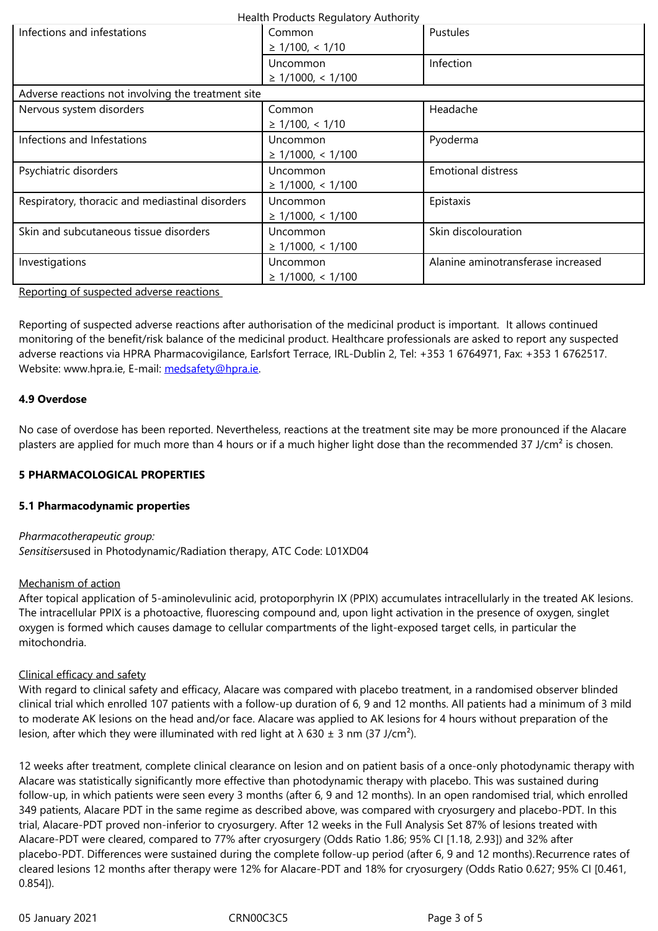|                                                    | Uncommon<br>$\geq$ 1/1000, < 1/100 | Infection                          |  |
|----------------------------------------------------|------------------------------------|------------------------------------|--|
| Adverse reactions not involving the treatment site |                                    |                                    |  |
| Nervous system disorders                           | Common<br>$\geq$ 1/100, < 1/10     | Headache                           |  |
| Infections and Infestations                        | Uncommon<br>$\geq$ 1/1000, < 1/100 | Pyoderma                           |  |
| Psychiatric disorders                              | Uncommon<br>$\geq$ 1/1000, < 1/100 | <b>Emotional distress</b>          |  |
| Respiratory, thoracic and mediastinal disorders    | Uncommon<br>$\geq$ 1/1000, < 1/100 | Epistaxis                          |  |
| Skin and subcutaneous tissue disorders             | Uncommon<br>$\geq$ 1/1000, < 1/100 | Skin discolouration                |  |
| Investigations                                     | Uncommon<br>$\geq$ 1/1000, < 1/100 | Alanine aminotransferase increased |  |

Reporting of suspected adverse reactions

Reporting of suspected adverse reactions after authorisation of the medicinal product is important. It allows continued monitoring of the benefit/risk balance of the medicinal product. Healthcare professionals are asked to report any suspected adverse reactions via HPRA Pharmacovigilance, Earlsfort Terrace, IRL-Dublin 2, Tel: +353 1 6764971, Fax: +353 1 6762517. Website: www.hpra.ie, E-mail: medsafety@hpra.ie.

## **4.9 Overdose**

No case of overdose has bee[n reported. Neverthe](mailto:medsafety@hpra.ie)less, reactions at the treatment site may be more pronounced if the Alacare plasters are applied for much more than 4 hours or if a much higher light dose than the recommended 37 J/cm<sup>2</sup> is chosen.

## **5 PHARMACOLOGICAL PROPERTIES**

## **5.1 Pharmacodynamic properties**

*Pharmacotherapeutic group: Sensitisers*used in Photodynamic/Radiation therapy, ATC Code: L01XD04

## Mechanism of action

After topical application of 5-aminolevulinic acid, protoporphyrin IX (PPIX) accumulates intracellularly in the treated AK lesions. The intracellular PPIX is a photoactive, fluorescing compound and, upon light activation in the presence of oxygen, singlet oxygen is formed which causes damage to cellular compartments of the light-exposed target cells, in particular the mitochondria.

## Clinical efficacy and safety

With regard to clinical safety and efficacy, Alacare was compared with placebo treatment, in a randomised observer blinded clinical trial which enrolled 107 patients with a follow-up duration of 6, 9 and 12 months. All patients had a minimum of 3 mild to moderate AK lesions on the head and/or face. Alacare was applied to AK lesions for 4 hours without preparation of the lesion, after which they were illuminated with red light at  $\lambda$  630  $\pm$  3 nm (37 J/cm<sup>2</sup>).

12 weeks after treatment, complete clinical clearance on lesion and on patient basis of a once-only photodynamic therapy with Alacare was statistically significantly more effective than photodynamic therapy with placebo. This was sustained during follow-up, in which patients were seen every 3 months (after 6, 9 and 12 months). In an open randomised trial, which enrolled 349 patients, Alacare PDT in the same regime as described above, was compared with cryosurgery and placebo-PDT. In this trial, Alacare-PDT proved non-inferior to cryosurgery. After 12 weeks in the Full Analysis Set 87% of lesions treated with Alacare-PDT were cleared, compared to 77% after cryosurgery (Odds Ratio 1.86; 95% CI [1.18, 2.93]) and 32% after placebo-PDT. Differences were sustained during the complete follow-up period (after 6, 9 and 12 months).Recurrence rates of cleared lesions 12 months after therapy were 12% for Alacare-PDT and 18% for cryosurgery (Odds Ratio 0.627; 95% CI [0.461, 0.854]).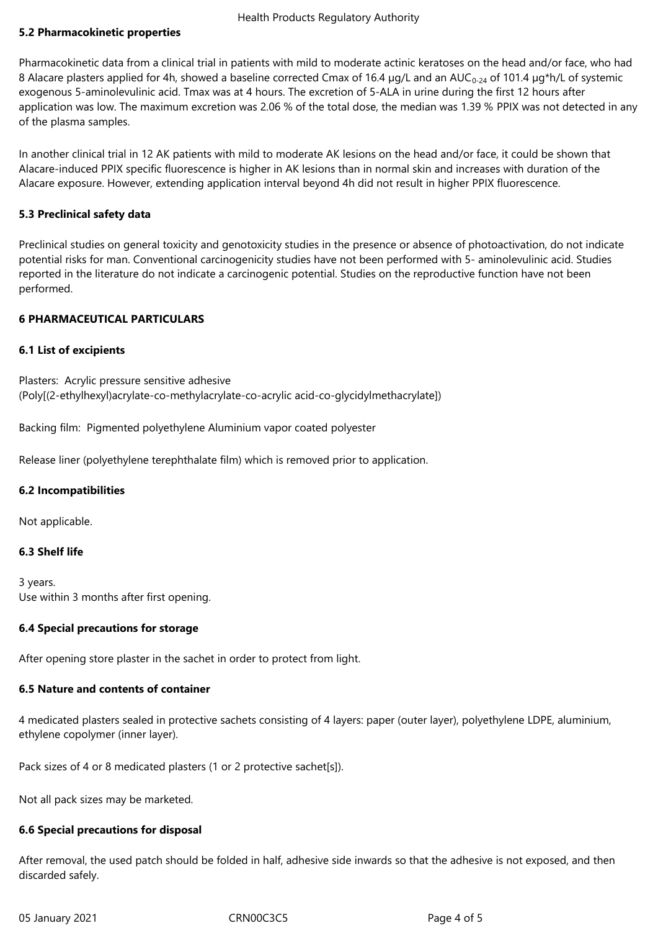# **5.2 Pharmacokinetic properties**

Pharmacokinetic data from a clinical trial in patients with mild to moderate actinic keratoses on the head and/or face, who had 8 Alacare plasters applied for 4h, showed a baseline corrected Cmax of 16.4  $\mu$ g/L and an AUC<sub>0-24</sub> of 101.4  $\mu$ g\*h/L of systemic exogenous 5-aminolevulinic acid. Tmax was at 4 hours. The excretion of 5‑ALA in urine during the first 12 hours after application was low. The maximum excretion was 2.06 % of the total dose, the median was 1.39 % PPIX was not detected in any of the plasma samples.

In another clinical trial in 12 AK patients with mild to moderate AK lesions on the head and/or face, it could be shown that Alacare-induced PPIX specific fluorescence is higher in AK lesions than in normal skin and increases with duration of the Alacare exposure. However, extending application interval beyond 4h did not result in higher PPIX fluorescence.

## **5.3 Preclinical safety data**

Preclinical studies on general toxicity and genotoxicity studies in the presence or absence of photoactivation, do not indicate potential risks for man. Conventional carcinogenicity studies have not been performed with 5- aminolevulinic acid. Studies reported in the literature do not indicate a carcinogenic potential. Studies on the reproductive function have not been performed.

## **6 PHARMACEUTICAL PARTICULARS**

#### **6.1 List of excipients**

Plasters: Acrylic pressure sensitive adhesive (Poly[(2-ethylhexyl)acrylate-co-methylacrylate-co-acrylic acid-co-glycidylmethacrylate])

Backing film: Pigmented polyethylene Aluminium vapor coated polyester

Release liner (polyethylene terephthalate film) which is removed prior to application.

## **6.2 Incompatibilities**

Not applicable.

#### **6.3 Shelf life**

3 years. Use within 3 months after first opening.

## **6.4 Special precautions for storage**

After opening store plaster in the sachet in order to protect from light.

## **6.5 Nature and contents of container**

4 medicated plasters sealed in protective sachets consisting of 4 layers: paper (outer layer), polyethylene LDPE, aluminium, ethylene copolymer (inner layer).

Pack sizes of 4 or 8 medicated plasters (1 or 2 protective sachet[s]).

Not all pack sizes may be marketed.

#### **6.6 Special precautions for disposal**

After removal, the used patch should be folded in half, adhesive side inwards so that the adhesive is not exposed, and then discarded safely.